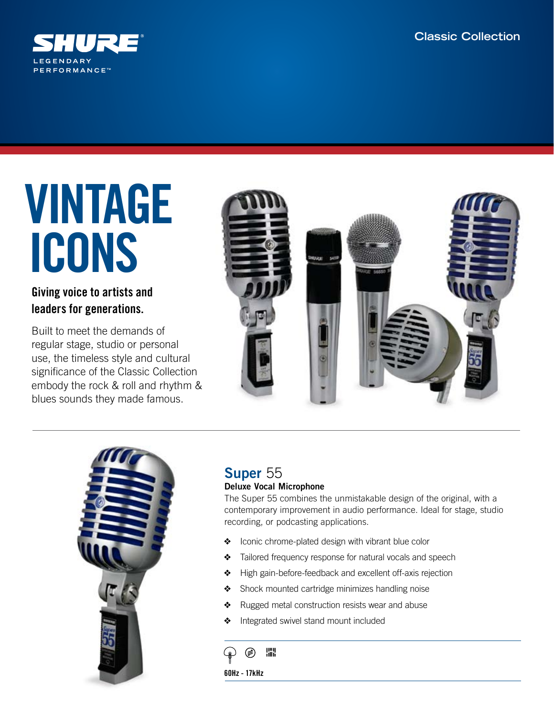

# VINTAGE ICONS

## Giving voice to artists and leaders for generations.

Built to meet the demands of regular stage, studio or personal use, the timeless style and cultural significance of the Classic Collection embody the rock & roll and rhythm & blues sounds they made famous.





## Super 55 Deluxe Vocal Microphone

The Super 55 combines the unmistakable design of the original, with a contemporary improvement in audio performance. Ideal for stage, studio recording, or podcasting applications.

- ❖ Iconic chrome-plated design with vibrant blue color
- ❖ Tailored frequency response for natural vocals and speech
- ❖ High gain-before-feedback and excellent off-axis rejection
- ❖ Shock mounted cartridge minimizes handling noise
- ❖ Rugged metal construction resists wear and abuse
- ❖ Integrated swivel stand mount included

膃

60Hz - 17kHz